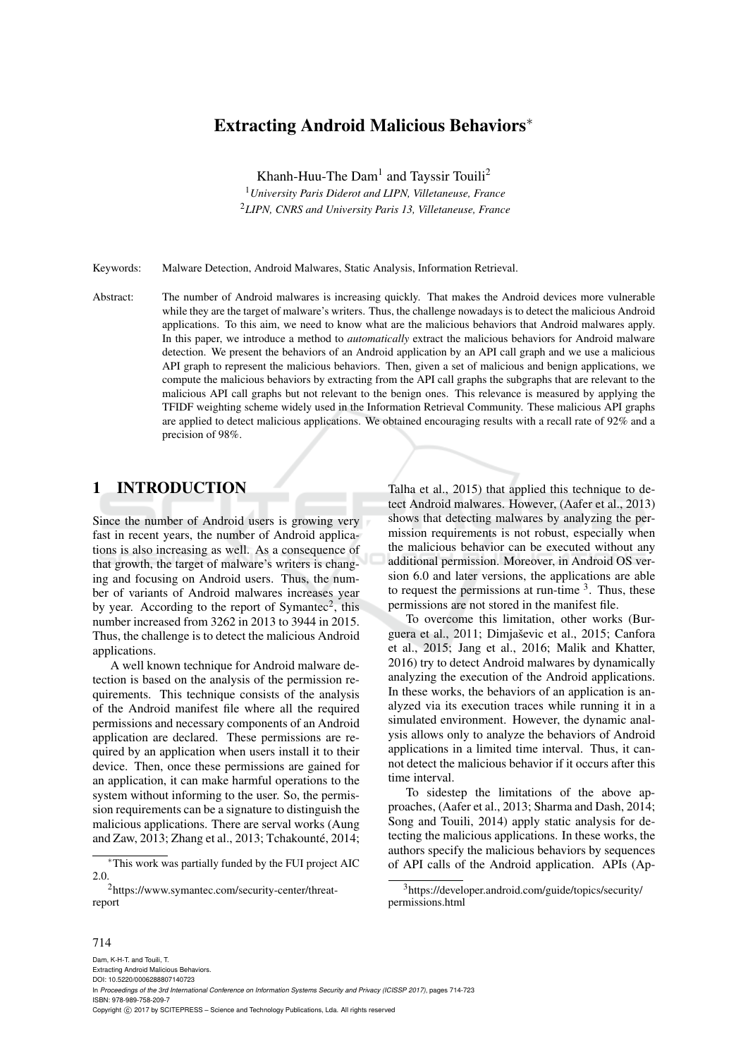## Extracting Android Malicious Behaviors∗

Khanh-Huu-The Dam<sup>1</sup> and Tayssir Touili<sup>2</sup> <sup>1</sup>*University Paris Diderot and LIPN, Villetaneuse, France* <sup>2</sup>*LIPN, CNRS and University Paris 13, Villetaneuse, France*

Keywords: Malware Detection, Android Malwares, Static Analysis, Information Retrieval.

Abstract: The number of Android malwares is increasing quickly. That makes the Android devices more vulnerable while they are the target of malware's writers. Thus, the challenge nowadays is to detect the malicious Android applications. To this aim, we need to know what are the malicious behaviors that Android malwares apply. In this paper, we introduce a method to *automatically* extract the malicious behaviors for Android malware detection. We present the behaviors of an Android application by an API call graph and we use a malicious API graph to represent the malicious behaviors. Then, given a set of malicious and benign applications, we compute the malicious behaviors by extracting from the API call graphs the subgraphs that are relevant to the malicious API call graphs but not relevant to the benign ones. This relevance is measured by applying the TFIDF weighting scheme widely used in the Information Retrieval Community. These malicious API graphs are applied to detect malicious applications. We obtained encouraging results with a recall rate of 92% and a precision of 98%.

## 1 INTRODUCTION

Since the number of Android users is growing very fast in recent years, the number of Android applications is also increasing as well. As a consequence of that growth, the target of malware's writers is changing and focusing on Android users. Thus, the number of variants of Android malwares increases year by year. According to the report of Symantec<sup>2</sup>, this number increased from 3262 in 2013 to 3944 in 2015. Thus, the challenge is to detect the malicious Android applications.

A well known technique for Android malware detection is based on the analysis of the permission requirements. This technique consists of the analysis of the Android manifest file where all the required permissions and necessary components of an Android application are declared. These permissions are required by an application when users install it to their device. Then, once these permissions are gained for an application, it can make harmful operations to the system without informing to the user. So, the permission requirements can be a signature to distinguish the malicious applications. There are serval works (Aung and Zaw, 2013; Zhang et al., 2013; Tchakounté, 2014;

Talha et al., 2015) that applied this technique to detect Android malwares. However, (Aafer et al., 2013) shows that detecting malwares by analyzing the permission requirements is not robust, especially when the malicious behavior can be executed without any additional permission. Moreover, in Android OS version 6.0 and later versions, the applications are able to request the permissions at run-time  $3$ . Thus, these permissions are not stored in the manifest file.

To overcome this limitation, other works (Burguera et al., 2011; Dimjaševic et al., 2015; Canfora et al., 2015; Jang et al., 2016; Malik and Khatter, 2016) try to detect Android malwares by dynamically analyzing the execution of the Android applications. In these works, the behaviors of an application is analyzed via its execution traces while running it in a simulated environment. However, the dynamic analysis allows only to analyze the behaviors of Android applications in a limited time interval. Thus, it cannot detect the malicious behavior if it occurs after this time interval.

To sidestep the limitations of the above approaches, (Aafer et al., 2013; Sharma and Dash, 2014; Song and Touili, 2014) apply static analysis for detecting the malicious applications. In these works, the authors specify the malicious behaviors by sequences of API calls of the Android application. APIs (Ap-

#### 714

Dam, K-H-T. and Touili, T. Extracting Android Malicious Behaviors. DOI: 10.5220/0006288807140723 In *Proceedings of the 3rd International Conference on Information Systems Security and Privacy (ICISSP 2017)*, pages 714-723 ISBN: 978-989-758-209-7 Copyright (C) 2017 by SCITEPRESS - Science and Technology Publications, Lda. All rights reserved

<sup>∗</sup>This work was partially funded by the FUI project AIC 2.0.

<sup>2</sup>https://www.symantec.com/security-center/threatreport

<sup>3</sup>https://developer.android.com/guide/topics/security/ permissions.html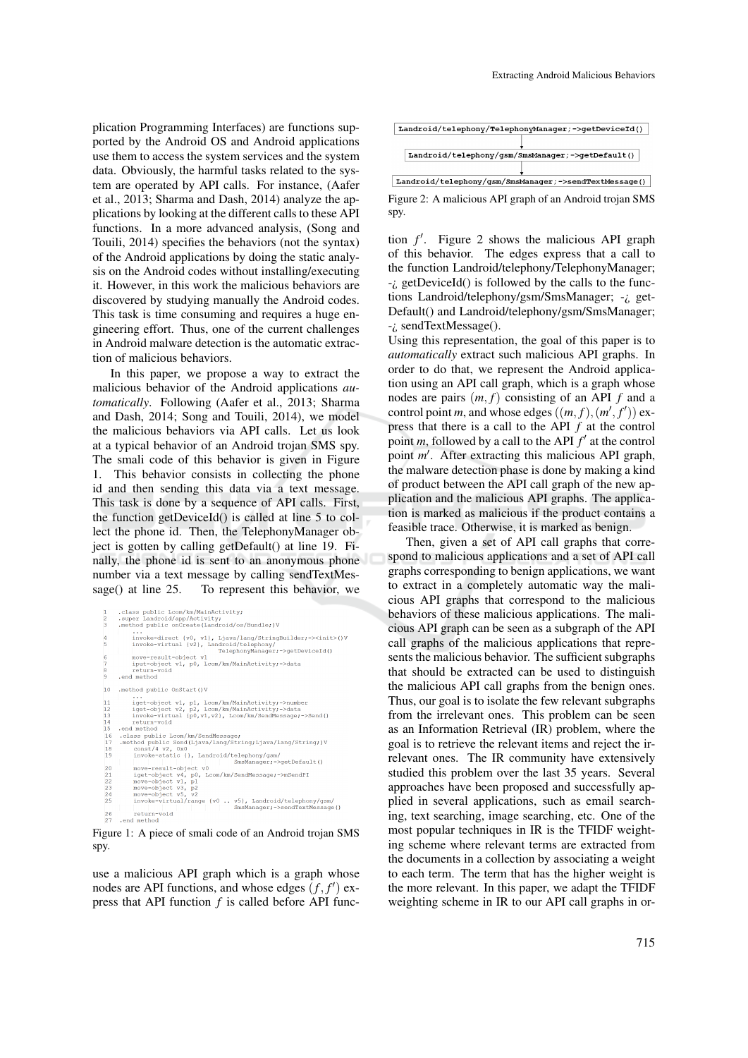plication Programming Interfaces) are functions supported by the Android OS and Android applications use them to access the system services and the system data. Obviously, the harmful tasks related to the system are operated by API calls. For instance, (Aafer et al., 2013; Sharma and Dash, 2014) analyze the applications by looking at the different calls to these API functions. In a more advanced analysis, (Song and Touili, 2014) specifies the behaviors (not the syntax) of the Android applications by doing the static analysis on the Android codes without installing/executing it. However, in this work the malicious behaviors are discovered by studying manually the Android codes. This task is time consuming and requires a huge engineering effort. Thus, one of the current challenges in Android malware detection is the automatic extraction of malicious behaviors.

In this paper, we propose a way to extract the malicious behavior of the Android applications *automatically*. Following (Aafer et al., 2013; Sharma and Dash, 2014; Song and Touili, 2014), we model the malicious behaviors via API calls. Let us look at a typical behavior of an Android trojan SMS spy. The smali code of this behavior is given in Figure 1. This behavior consists in collecting the phone id and then sending this data via a text message. This task is done by a sequence of API calls. First, the function getDeviceId() is called at line 5 to collect the phone id. Then, the TelephonyManager object is gotten by calling getDefault() at line 19. Finally, the phone id is sent to an anonymous phone number via a text message by calling sendTextMessage() at line 25. To represent this behavior, we

```
.class public Lcom/km/MainActivity;<br>.super Landroid/app/Activity;<br>.method public onCreate(Landroid/os/Bundle;)V
                           ...<br>
invoke-direct {v0, v1}, Ljava/lang/StringBuilder;-><init>()V<br>
invoke-virtual (v2), Landroid/telephony/<br>
FelephonyManager;->getDeviceId()
                           invoke-direct (v0, v1), Ljava/lang/StringBuilder<br>invoke-virtual (v2), Landroid/telephony/<br>move-result-object v1<br>move-result-object v1<br>iput-object v1<br>return-void<br>return-void<br>return-void<br>a method
              .end
10.method public OnStart ()V
                            ...<br>iget-object v1, p1, Lcom/km/MainActivity;->number<br>iget-object v2, p2, Lcom/km/MainActivity;->data<br>invoke-virtual (p0,v1,v2), Lcom/km/SendMessage;->Send()<br>return-void
\begin{array}{c} 11 \\ 12 \\ 13 \\ 14 \\ 15 \end{array}return-void<br>
.end method<br>
.class public Loom/km/SendMessage;<br>
.method public Send(Ljava/lang/String;Ljava/lang/String;)V<br>
.mecnat/4 v2, 0x0<br>
invoke-static {}, Landroid/telephony/gsm/<br>
move-result-object v0<br>
...............
  \frac{18}{19}invoke-static (), Landroid/telephony/gam/<br>
Smalkanager->getDefault()<br>
move-cheict vi, p0, Lcom/km/SendMessager->mSendPI<br>
move-cheict vi, p1<br>
move-cheict v3, y2<br>
move-cheict s5, y2<br>
invoke-virtual/range (v0 .. v5), Landroid
  \begin{array}{c} 20 \\ 21 \end{array}\frac{1}{2}26 return-void<br>27 .end method
```
Figure 1: A piece of smali code of an Android trojan SMS spy.

use a malicious API graph which is a graph whose nodes are API functions, and whose edges  $(f, f')$  express that API function *f* is called before API func-



Figure 2: A malicious API graph of an Android trojan SMS spy.

tion  $f'$ . Figure 2 shows the malicious API graph of this behavior. The edges express that a call to the function Landroid/telephony/TelephonyManager; -¿ getDeviceId() is followed by the calls to the functions Landroid/telephony/gsm/SmsManager; -¿ get-Default() and Landroid/telephony/gsm/SmsManager; -¿ sendTextMessage().

Using this representation, the goal of this paper is to *automatically* extract such malicious API graphs. In order to do that, we represent the Android application using an API call graph, which is a graph whose nodes are pairs  $(m, f)$  consisting of an API  $f$  and a control point *m*, and whose edges  $((m, f), (m', f'))$  express that there is a call to the API *f* at the control point *m*, followed by a call to the API  $f'$  at the control point *m'*. After extracting this malicious API graph, the malware detection phase is done by making a kind of product between the API call graph of the new application and the malicious API graphs. The application is marked as malicious if the product contains a feasible trace. Otherwise, it is marked as benign.

Then, given a set of API call graphs that correspond to malicious applications and a set of API call graphs corresponding to benign applications, we want to extract in a completely automatic way the malicious API graphs that correspond to the malicious behaviors of these malicious applications. The malicious API graph can be seen as a subgraph of the API call graphs of the malicious applications that represents the malicious behavior. The sufficient subgraphs that should be extracted can be used to distinguish the malicious API call graphs from the benign ones. Thus, our goal is to isolate the few relevant subgraphs from the irrelevant ones. This problem can be seen as an Information Retrieval (IR) problem, where the goal is to retrieve the relevant items and reject the irrelevant ones. The IR community have extensively studied this problem over the last 35 years. Several approaches have been proposed and successfully applied in several applications, such as email searching, text searching, image searching, etc. One of the most popular techniques in IR is the TFIDF weighting scheme where relevant terms are extracted from the documents in a collection by associating a weight to each term. The term that has the higher weight is the more relevant. In this paper, we adapt the TFIDF weighting scheme in IR to our API call graphs in or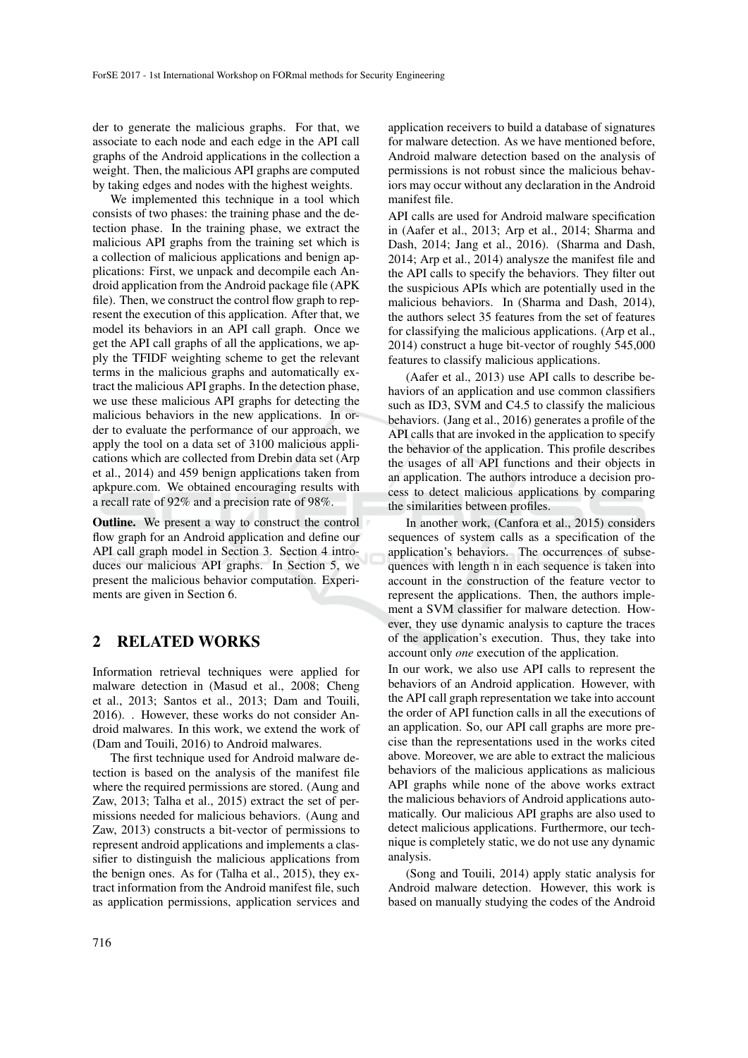der to generate the malicious graphs. For that, we associate to each node and each edge in the API call graphs of the Android applications in the collection a weight. Then, the malicious API graphs are computed by taking edges and nodes with the highest weights.

We implemented this technique in a tool which consists of two phases: the training phase and the detection phase. In the training phase, we extract the malicious API graphs from the training set which is a collection of malicious applications and benign applications: First, we unpack and decompile each Android application from the Android package file (APK file). Then, we construct the control flow graph to represent the execution of this application. After that, we model its behaviors in an API call graph. Once we get the API call graphs of all the applications, we apply the TFIDF weighting scheme to get the relevant terms in the malicious graphs and automatically extract the malicious API graphs. In the detection phase, we use these malicious API graphs for detecting the malicious behaviors in the new applications. In order to evaluate the performance of our approach, we apply the tool on a data set of 3100 malicious applications which are collected from Drebin data set (Arp et al., 2014) and 459 benign applications taken from apkpure.com. We obtained encouraging results with a recall rate of 92% and a precision rate of 98%.

**Outline.** We present a way to construct the control flow graph for an Android application and define our API call graph model in Section 3. Section 4 introduces our malicious API graphs. In Section 5, we present the malicious behavior computation. Experiments are given in Section 6.

## 2 RELATED WORKS

Information retrieval techniques were applied for malware detection in (Masud et al., 2008; Cheng et al., 2013; Santos et al., 2013; Dam and Touili, 2016). . However, these works do not consider Android malwares. In this work, we extend the work of (Dam and Touili, 2016) to Android malwares.

The first technique used for Android malware detection is based on the analysis of the manifest file where the required permissions are stored. (Aung and Zaw, 2013; Talha et al., 2015) extract the set of permissions needed for malicious behaviors. (Aung and Zaw, 2013) constructs a bit-vector of permissions to represent android applications and implements a classifier to distinguish the malicious applications from the benign ones. As for (Talha et al., 2015), they extract information from the Android manifest file, such as application permissions, application services and

application receivers to build a database of signatures for malware detection. As we have mentioned before, Android malware detection based on the analysis of permissions is not robust since the malicious behaviors may occur without any declaration in the Android manifest file.

API calls are used for Android malware specification in (Aafer et al., 2013; Arp et al., 2014; Sharma and Dash, 2014; Jang et al., 2016). (Sharma and Dash, 2014; Arp et al., 2014) analysze the manifest file and the API calls to specify the behaviors. They filter out the suspicious APIs which are potentially used in the malicious behaviors. In (Sharma and Dash, 2014), the authors select 35 features from the set of features for classifying the malicious applications. (Arp et al., 2014) construct a huge bit-vector of roughly 545,000 features to classify malicious applications.

(Aafer et al., 2013) use API calls to describe behaviors of an application and use common classifiers such as ID3, SVM and C4.5 to classify the malicious behaviors. (Jang et al., 2016) generates a profile of the API calls that are invoked in the application to specify the behavior of the application. This profile describes the usages of all API functions and their objects in an application. The authors introduce a decision process to detect malicious applications by comparing the similarities between profiles.

In another work, (Canfora et al., 2015) considers sequences of system calls as a specification of the application's behaviors. The occurrences of subsequences with length n in each sequence is taken into account in the construction of the feature vector to represent the applications. Then, the authors implement a SVM classifier for malware detection. However, they use dynamic analysis to capture the traces of the application's execution. Thus, they take into account only *one* execution of the application.

In our work, we also use API calls to represent the behaviors of an Android application. However, with the API call graph representation we take into account the order of API function calls in all the executions of an application. So, our API call graphs are more precise than the representations used in the works cited above. Moreover, we are able to extract the malicious behaviors of the malicious applications as malicious API graphs while none of the above works extract the malicious behaviors of Android applications automatically. Our malicious API graphs are also used to detect malicious applications. Furthermore, our technique is completely static, we do not use any dynamic analysis.

(Song and Touili, 2014) apply static analysis for Android malware detection. However, this work is based on manually studying the codes of the Android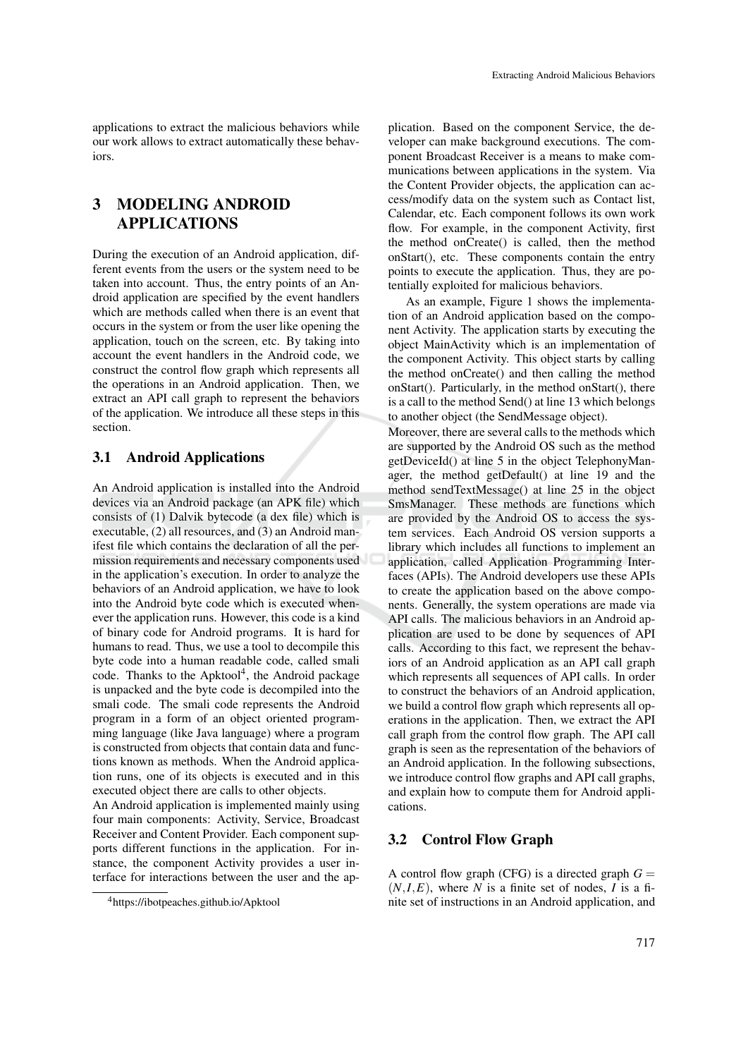applications to extract the malicious behaviors while our work allows to extract automatically these behaviors.

## 3 MODELING ANDROID APPLICATIONS

During the execution of an Android application, different events from the users or the system need to be taken into account. Thus, the entry points of an Android application are specified by the event handlers which are methods called when there is an event that occurs in the system or from the user like opening the application, touch on the screen, etc. By taking into account the event handlers in the Android code, we construct the control flow graph which represents all the operations in an Android application. Then, we extract an API call graph to represent the behaviors of the application. We introduce all these steps in this section.

#### 3.1 Android Applications

An Android application is installed into the Android devices via an Android package (an APK file) which consists of (1) Dalvik bytecode (a dex file) which is executable, (2) all resources, and (3) an Android manifest file which contains the declaration of all the permission requirements and necessary components used in the application's execution. In order to analyze the behaviors of an Android application, we have to look into the Android byte code which is executed whenever the application runs. However, this code is a kind of binary code for Android programs. It is hard for humans to read. Thus, we use a tool to decompile this byte code into a human readable code, called smali code. Thanks to the Apktool<sup>4</sup>, the Android package is unpacked and the byte code is decompiled into the smali code. The smali code represents the Android program in a form of an object oriented programming language (like Java language) where a program is constructed from objects that contain data and functions known as methods. When the Android application runs, one of its objects is executed and in this executed object there are calls to other objects.

An Android application is implemented mainly using four main components: Activity, Service, Broadcast Receiver and Content Provider. Each component supports different functions in the application. For instance, the component Activity provides a user interface for interactions between the user and the ap-

plication. Based on the component Service, the developer can make background executions. The component Broadcast Receiver is a means to make communications between applications in the system. Via the Content Provider objects, the application can access/modify data on the system such as Contact list, Calendar, etc. Each component follows its own work flow. For example, in the component Activity, first the method onCreate() is called, then the method onStart(), etc. These components contain the entry points to execute the application. Thus, they are potentially exploited for malicious behaviors.

As an example, Figure 1 shows the implementation of an Android application based on the component Activity. The application starts by executing the object MainActivity which is an implementation of the component Activity. This object starts by calling the method onCreate() and then calling the method onStart(). Particularly, in the method onStart(), there is a call to the method Send() at line 13 which belongs to another object (the SendMessage object).

Moreover, there are several calls to the methods which are supported by the Android OS such as the method getDeviceId() at line 5 in the object TelephonyManager, the method getDefault() at line 19 and the method sendTextMessage() at line 25 in the object SmsManager. These methods are functions which are provided by the Android OS to access the system services. Each Android OS version supports a library which includes all functions to implement an application, called Application Programming Interfaces (APIs). The Android developers use these APIs to create the application based on the above components. Generally, the system operations are made via API calls. The malicious behaviors in an Android application are used to be done by sequences of API calls. According to this fact, we represent the behaviors of an Android application as an API call graph which represents all sequences of API calls. In order to construct the behaviors of an Android application, we build a control flow graph which represents all operations in the application. Then, we extract the API call graph from the control flow graph. The API call graph is seen as the representation of the behaviors of an Android application. In the following subsections, we introduce control flow graphs and API call graphs, and explain how to compute them for Android applications.

### 3.2 Control Flow Graph

A control flow graph (CFG) is a directed graph  $G =$  $(N,I,E)$ , where N is a finite set of nodes, I is a finite set of instructions in an Android application, and

<sup>4</sup>https://ibotpeaches.github.io/Apktool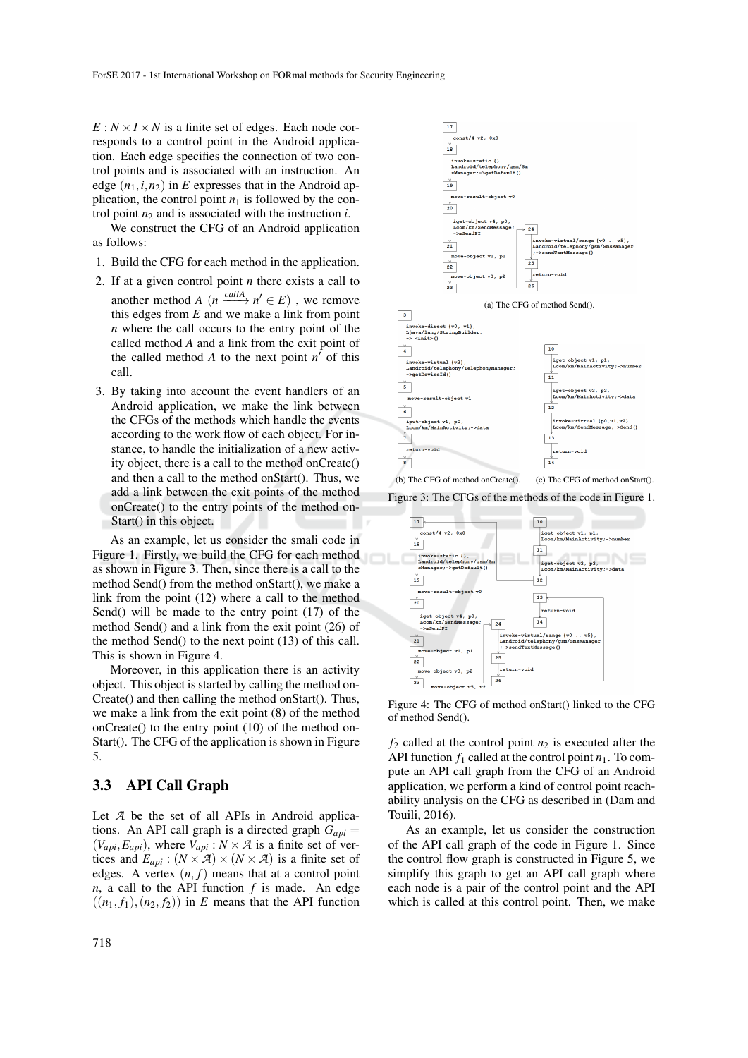$E: N \times I \times N$  is a finite set of edges. Each node corresponds to a control point in the Android application. Each edge specifies the connection of two control points and is associated with an instruction. An edge  $(n_1, i, n_2)$  in *E* expresses that in the Android application, the control point  $n_1$  is followed by the control point  $n_2$  and is associated with the instruction *i*.

We construct the CFG of an Android application as follows:

- 1. Build the CFG for each method in the application.
- 2. If at a given control point *n* there exists a call to another method *A*  $(n \xrightarrow{callA} n' \in E)$ , we remove this edges from *E* and we make a link from point *n* where the call occurs to the entry point of the called method *A* and a link from the exit point of the called method  $A$  to the next point  $n'$  of this call.
- 3. By taking into account the event handlers of an Android application, we make the link between the CFGs of the methods which handle the events according to the work flow of each object. For instance, to handle the initialization of a new activity object, there is a call to the method onCreate() and then a call to the method onStart(). Thus, we add a link between the exit points of the method onCreate() to the entry points of the method on-Start() in this object.

As an example, let us consider the smali code in Figure 1. Firstly, we build the CFG for each method as shown in Figure 3. Then, since there is a call to the method Send() from the method onStart(), we make a link from the point (12) where a call to the method Send() will be made to the entry point (17) of the method Send() and a link from the exit point (26) of the method Send() to the next point (13) of this call. This is shown in Figure 4.

Moreover, in this application there is an activity object. This object is started by calling the method on-Create() and then calling the method onStart(). Thus, we make a link from the exit point (8) of the method onCreate() to the entry point (10) of the method on-Start(). The CFG of the application is shown in Figure 5.

### 3.3 API Call Graph

Let *A* be the set of all APIs in Android applications. An API call graph is a directed graph  $G_{api}$  =  $(V_{api}, E_{api})$ , where  $V_{api}$ :  $N \times A$  is a finite set of vertices and  $E_{ani}$ :  $(N \times \mathcal{A}) \times (N \times \mathcal{A})$  is a finite set of edges. A vertex  $(n, f)$  means that at a control point  $n$ , a call to the API function  $f$  is made. An edge  $((n_1, f_1), (n_2, f_2))$  in *E* means that the API function



Figure 3: The CFGs of the methods of the code in Figure 1.



Figure 4: The CFG of method onStart() linked to the CFG of method Send().

 $f_2$  called at the control point  $n_2$  is executed after the API function  $f_1$  called at the control point  $n_1$ . To compute an API call graph from the CFG of an Android application, we perform a kind of control point reachability analysis on the CFG as described in (Dam and Touili, 2016).

As an example, let us consider the construction of the API call graph of the code in Figure 1. Since the control flow graph is constructed in Figure 5, we simplify this graph to get an API call graph where each node is a pair of the control point and the API which is called at this control point. Then, we make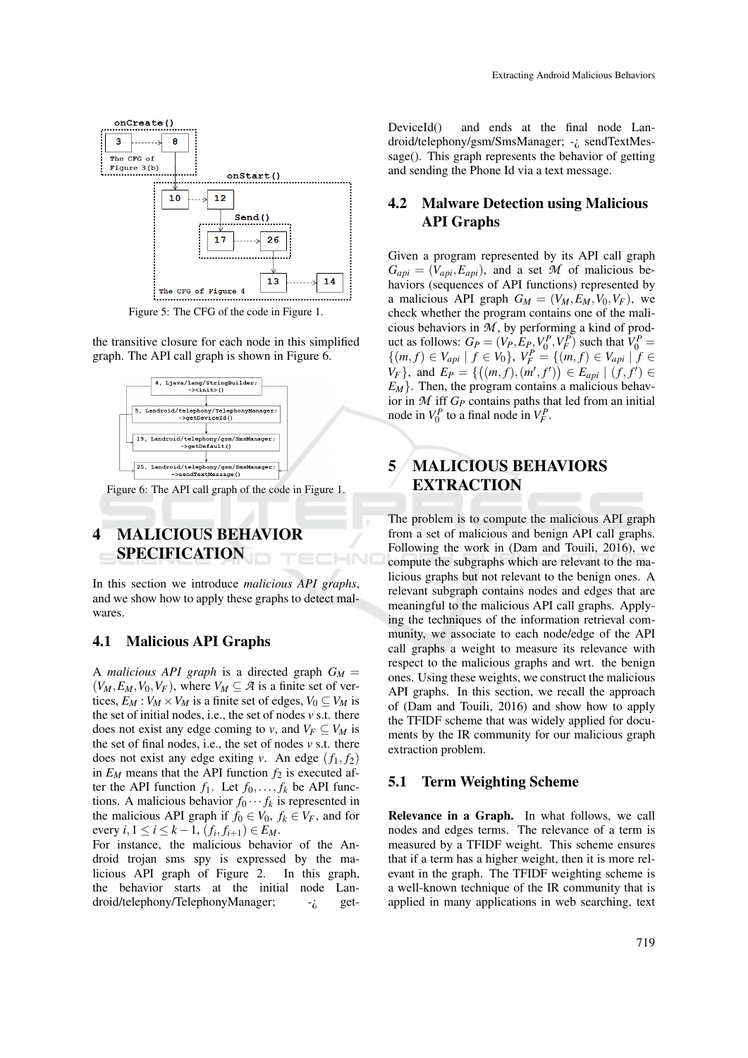

Figure 5: The CFG of the code in Figure 1.

the transitive closure for each node in this simplified graph. The API call graph is shown in Figure 6.



Figure 6: The API call graph of the code in Figure 1.

# 4 MALICIOUS BEHAVIOR SPECIFICATION

In this section we introduce *malicious API graphs*, and we show how to apply these graphs to detect malwares.

НN

#### 4.1 Malicious API Graphs

A *malicious API graph* is a directed graph  $G_M =$  $(V_M, E_M, V_0, V_F)$ , where  $V_M \subseteq \mathcal{A}$  is a finite set of vertices,  $E_M$ :  $V_M \times V_M$  is a finite set of edges,  $V_0 \subseteq V_M$  is the set of initial nodes, i.e., the set of nodes *v* s.t. there does not exist any edge coming to *v*, and  $V_F \subseteq V_M$  is the set of final nodes, i.e., the set of nodes *v* s.t. there does not exist any edge exiting *v*. An edge  $(f_1, f_2)$ in  $E_M$  means that the API function  $f_2$  is executed after the API function  $f_1$ . Let  $f_0, \ldots, f_k$  be API functions. A malicious behavior  $f_0 \cdots f_k$  is represented in the malicious API graph if  $f_0 \in V_0$ ,  $f_k \in V_F$ , and for every *i*, 1 ≤ *i* ≤ *k* − 1,  $(f_i, f_{i+1})$  ∈ *E<sub>M</sub>*.

For instance, the malicious behavior of the Android trojan sms spy is expressed by the malicious API graph of Figure 2. In this graph, the behavior starts at the initial node Landroid/telephony/TelephonyManager;  $-i$  getDeviceId() and ends at the final node Landroid/telephony/gsm/SmsManager; -¿ sendTextMessage(). This graph represents the behavior of getting and sending the Phone Id via a text message.

### 4.2 Malware Detection using Malicious API Graphs

Given a program represented by its API call graph  $G_{ani} = (V_{ani}, E_{ani})$ , and a set *M* of malicious behaviors (sequences of API functions) represented by a malicious API graph  $G_M = (V_M, E_M, V_0, V_F)$ , we check whether the program contains one of the malicious behaviors in *M* , by performing a kind of product as follows:  $G_P = (V_P, E_P, V_0^P, V_F^P)$  such that  $V_0^P =$ { $(m, f) \in V_{api} \mid f \in V_0$ ,  $V_F^P = \{(m, f) \in V_{api} \mid f \in$ *V<sub>F</sub>*}, and  $E_P = \{ ((m, f), (m', f')) \in E_{api} \mid (f, f') \in E_P \}$  $E_M$ . Then, the program contains a malicious behavior in  $M$  iff  $G_P$  contains paths that led from an initial node in  $V_0^P$  to a final node in  $V_F^P$ .

## 5 MALICIOUS BEHAVIORS EXTRACTION

The problem is to compute the malicious API graph from a set of malicious and benign API call graphs. Following the work in (Dam and Touili, 2016), we compute the subgraphs which are relevant to the malicious graphs but not relevant to the benign ones. A relevant subgraph contains nodes and edges that are meaningful to the malicious API call graphs. Applying the techniques of the information retrieval community, we associate to each node/edge of the API call graphs a weight to measure its relevance with respect to the malicious graphs and wrt. the benign ones. Using these weights, we construct the malicious API graphs. In this section, we recall the approach of (Dam and Touili, 2016) and show how to apply the TFIDF scheme that was widely applied for documents by the IR community for our malicious graph extraction problem.

#### 5.1 Term Weighting Scheme

Relevance in a Graph. In what follows, we call nodes and edges terms. The relevance of a term is measured by a TFIDF weight. This scheme ensures that if a term has a higher weight, then it is more relevant in the graph. The TFIDF weighting scheme is a well-known technique of the IR community that is applied in many applications in web searching, text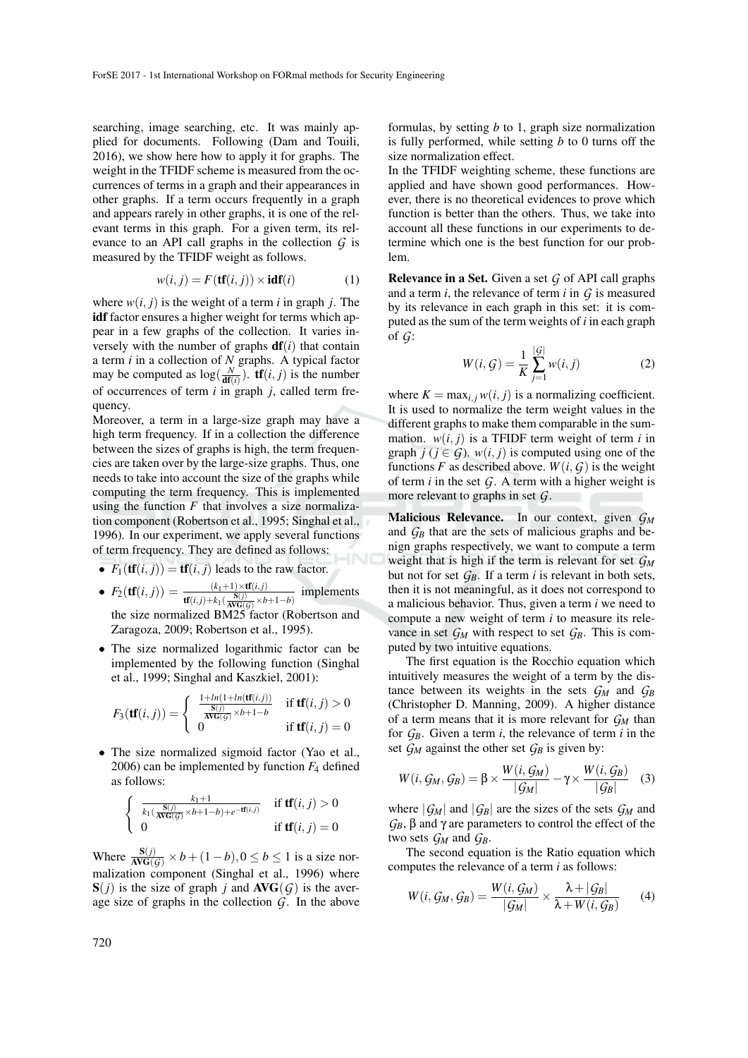searching, image searching, etc. It was mainly applied for documents. Following (Dam and Touili, 2016), we show here how to apply it for graphs. The weight in the TFIDF scheme is measured from the occurrences of terms in a graph and their appearances in other graphs. If a term occurs frequently in a graph and appears rarely in other graphs, it is one of the relevant terms in this graph. For a given term, its relevance to an API call graphs in the collection *G* is measured by the TFIDF weight as follows.

$$
w(i, j) = F(\mathbf{tf}(i, j)) \times \mathbf{idf}(i)
$$
 (1)

where  $w(i, j)$  is the weight of a term *i* in graph *j*. The idf factor ensures a higher weight for terms which appear in a few graphs of the collection. It varies inversely with the number of graphs  $df(i)$  that contain a term *i* in a collection of *N* graphs. A typical factor may be computed as  $\log(\frac{N}{df(i)})$ . **tf**(*i*, *j*) is the number of occurrences of term *i* in graph *j*, called term frequency.

Moreover, a term in a large-size graph may have a high term frequency. If in a collection the difference between the sizes of graphs is high, the term frequencies are taken over by the large-size graphs. Thus, one needs to take into account the size of the graphs while computing the term frequency. This is implemented using the function  $F$  that involves a size normalization component (Robertson et al., 1995; Singhal et al., 1996). In our experiment, we apply several functions of term frequency. They are defined as follows:

- $F_1(\textbf{tf}(i, j)) = \textbf{tf}(i, j)$  leads to the raw factor.
- $F_2(\textbf{tf}(i, j)) = \frac{(k_1+1) \times \textbf{tf}(i, j)}{\textbf{tf}(i, j) + k_1(\frac{\textbf{S}(j)}{\textbf{AVG}(G)} \times b+1-b)}$ implements the size normalized BM25 factor (Robertson and Zaragoza, 2009; Robertson et al., 1995).
- The size normalized logarithmic factor can be implemented by the following function (Singhal et al., 1999; Singhal and Kaszkiel, 2001):

$$
F_3(\mathbf{tf}(i,j)) = \begin{cases} \frac{1 + ln(1 + ln(\mathbf{tf}(i,j)))}{\frac{\mathbf{S}(j)}{\mathbf{AVG}(j)} \times b + 1 - b} & \text{if } \mathbf{tf}(i,j) > 0\\ 0 & \text{if } \mathbf{tf}(i,j) = 0 \end{cases}
$$

• The size normalized sigmoid factor (Yao et al., 2006) can be implemented by function *F*<sup>4</sup> defined as follows:

$$
\begin{cases} \frac{k_1+1}{k_1(\frac{\mathbf{S}(j)}{\mathbf{AVG}(\mathcal{G})}\times b+1-b)+e^{-\mathbf{tf}(i,j)}} & \text{if } \mathbf{tf}(i,j) > 0\\ 0 & \text{if } \mathbf{tf}(i,j) = 0 \end{cases}
$$

Where  $\frac{S(j)}{AVG(G)} \times b + (1-b)$ ,  $0 \le b \le 1$  is a size normalization component (Singhal et al., 1996) where  $S(j)$  is the size of graph *j* and  $AVG(G)$  is the average size of graphs in the collection *G*. In the above

formulas, by setting *b* to 1, graph size normalization is fully performed, while setting *b* to 0 turns off the size normalization effect.

In the TFIDF weighting scheme, these functions are applied and have shown good performances. However, there is no theoretical evidences to prove which function is better than the others. Thus, we take into account all these functions in our experiments to determine which one is the best function for our problem.

Relevance in a Set. Given a set *G* of API call graphs and a term *i*, the relevance of term *i* in *G* is measured by its relevance in each graph in this set: it is computed as the sum of the term weights of *i* in each graph of *G*:

$$
W(i, G) = \frac{1}{K} \sum_{j=1}^{|G|} w(i, j)
$$
 (2)

where  $K = \max_{i,j} w(i,j)$  is a normalizing coefficient. It is used to normalize the term weight values in the different graphs to make them comparable in the summation.  $w(i, j)$  is a TFIDF term weight of term *i* in graph  $j$  ( $j \in G$ ).  $w(i, j)$  is computed using one of the functions *F* as described above.  $W(i, G)$  is the weight of term  $i$  in the set  $G$ . A term with a higher weight is more relevant to graphs in set *G*.

Malicious Relevance. In our context, given *G<sup>M</sup>* and  $G_B$  that are the sets of malicious graphs and benign graphs respectively, we want to compute a term weight that is high if the term is relevant for set *G<sup>M</sup>* but not for set *GB*. If a term *i* is relevant in both sets, then it is not meaningful, as it does not correspond to a malicious behavior. Thus, given a term *i* we need to compute a new weight of term *i* to measure its relevance in set  $G_M$  with respect to set  $G_B$ . This is computed by two intuitive equations.

The first equation is the Rocchio equation which intuitively measures the weight of a term by the distance between its weights in the sets  $G_M$  and  $G_B$ (Christopher D. Manning, 2009). A higher distance of a term means that it is more relevant for *G<sup>M</sup>* than for  $G_B$ . Given a term *i*, the relevance of term *i* in the set  $G_M$  against the other set  $G_B$  is given by:

$$
W(i, G_M, G_B) = \beta \times \frac{W(i, G_M)}{|G_M|} - \gamma \times \frac{W(i, G_B)}{|G_B|} \quad (3)
$$

where  $|G_M|$  and  $|G_B|$  are the sizes of the sets  $G_M$  and  $G_B$ , β and γ are parameters to control the effect of the two sets  $G_M$  and  $G_B$ .

The second equation is the Ratio equation which computes the relevance of a term *i* as follows:

$$
W(i, G_M, G_B) = \frac{W(i, G_M)}{|G_M|} \times \frac{\lambda + |G_B|}{\lambda + W(i, G_B)} \qquad (4)
$$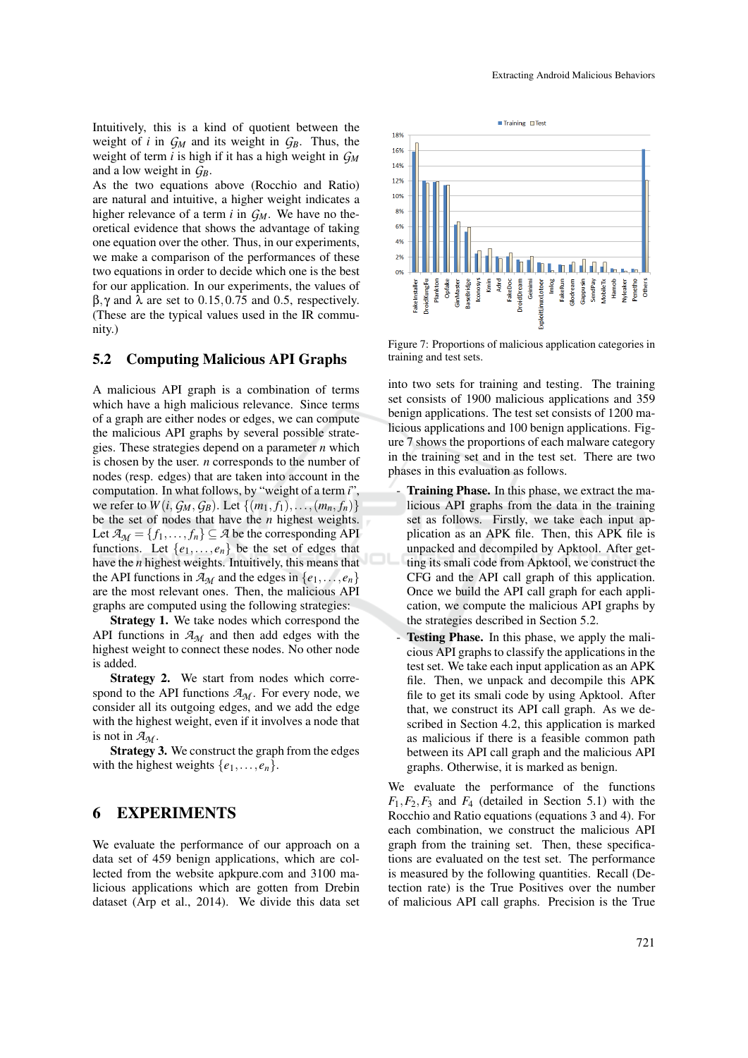Intuitively, this is a kind of quotient between the weight of *i* in  $G_M$  and its weight in  $G_B$ . Thus, the weight of term *i* is high if it has a high weight in *G<sup>M</sup>* and a low weight in *GB*.

As the two equations above (Rocchio and Ratio) are natural and intuitive, a higher weight indicates a higher relevance of a term *i* in *GM*. We have no theoretical evidence that shows the advantage of taking one equation over the other. Thus, in our experiments, we make a comparison of the performances of these two equations in order to decide which one is the best for our application. In our experiments, the values of  $β, γ$  and  $λ$  are set to 0.15, 0.75 and 0.5, respectively. (These are the typical values used in the IR community.)

#### 5.2 Computing Malicious API Graphs

A malicious API graph is a combination of terms which have a high malicious relevance. Since terms of a graph are either nodes or edges, we can compute the malicious API graphs by several possible strategies. These strategies depend on a parameter *n* which is chosen by the user. *n* corresponds to the number of nodes (resp. edges) that are taken into account in the computation. In what follows, by "weight of a term *i*", we refer to  $W(i, G_M, G_B)$ . Let  $\{(m_1, f_1), \ldots, (m_n, f_n)\}$ be the set of nodes that have the *n* highest weights. Let  $A_M = \{f_1, \ldots, f_n\} \subseteq A$  be the corresponding API functions. Let  $\{e_1, \ldots, e_n\}$  be the set of edges that have the *n* highest weights. Intuitively, this means that the API functions in  $\mathcal{A}_{M}$  and the edges in  $\{e_1, \ldots, e_n\}$ are the most relevant ones. Then, the malicious API graphs are computed using the following strategies:

Strategy 1. We take nodes which correspond the API functions in  $A_M$  and then add edges with the highest weight to connect these nodes. No other node is added.

Strategy 2. We start from nodes which correspond to the API functions  $A_M$ . For every node, we consider all its outgoing edges, and we add the edge with the highest weight, even if it involves a node that is not in  $A_{\mathcal{M}}$ .

Strategy 3. We construct the graph from the edges with the highest weights  $\{e_1, \ldots, e_n\}$ .

### 6 EXPERIMENTS

We evaluate the performance of our approach on a data set of 459 benign applications, which are collected from the website apkpure.com and 3100 malicious applications which are gotten from Drebin dataset (Arp et al., 2014). We divide this data set



Figure 7: Proportions of malicious application categories in training and test sets.

into two sets for training and testing. The training set consists of 1900 malicious applications and 359 benign applications. The test set consists of 1200 malicious applications and 100 benign applications. Figure 7 shows the proportions of each malware category in the training set and in the test set. There are two phases in this evaluation as follows.

- Training Phase. In this phase, we extract the malicious API graphs from the data in the training set as follows. Firstly, we take each input application as an APK file. Then, this APK file is unpacked and decompiled by Apktool. After getting its smali code from Apktool, we construct the CFG and the API call graph of this application. Once we build the API call graph for each application, we compute the malicious API graphs by the strategies described in Section 5.2.
- Testing Phase. In this phase, we apply the malicious API graphs to classify the applications in the test set. We take each input application as an APK file. Then, we unpack and decompile this APK file to get its smali code by using Apktool. After that, we construct its API call graph. As we described in Section 4.2, this application is marked as malicious if there is a feasible common path between its API call graph and the malicious API graphs. Otherwise, it is marked as benign.

We evaluate the performance of the functions  $F_1, F_2, F_3$  and  $F_4$  (detailed in Section 5.1) with the Rocchio and Ratio equations (equations 3 and 4). For each combination, we construct the malicious API graph from the training set. Then, these specifications are evaluated on the test set. The performance is measured by the following quantities. Recall (Detection rate) is the True Positives over the number of malicious API call graphs. Precision is the True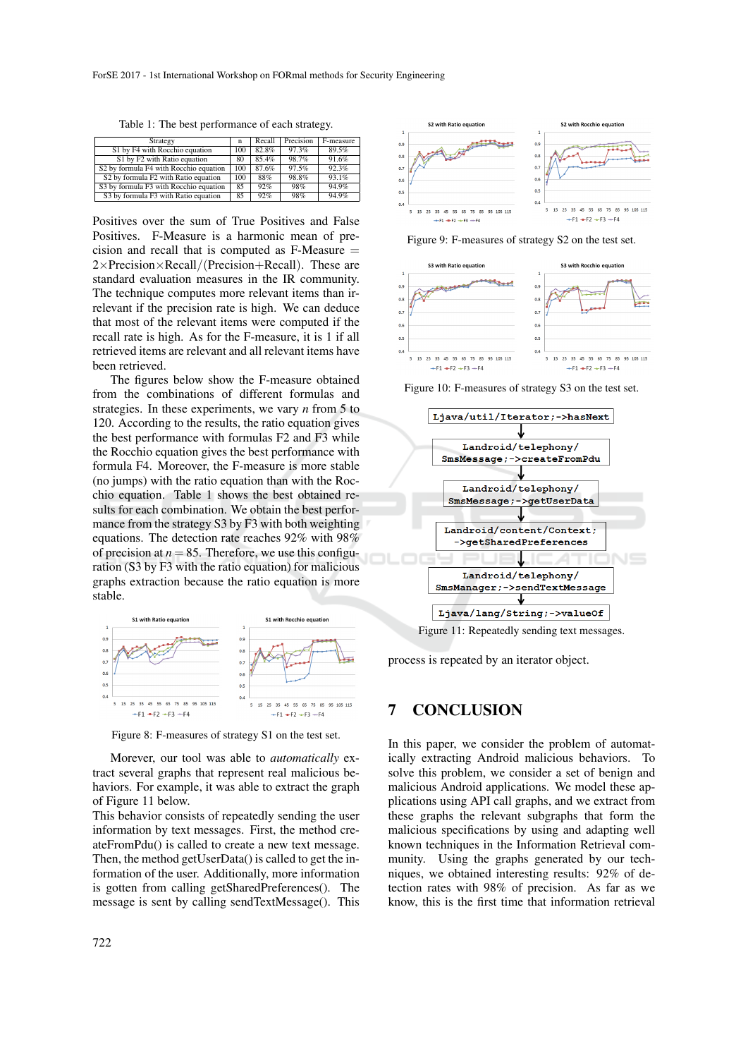Table 1: The best performance of each strategy.

| Strategy                               | n   | Recall | Precision | F-measure |
|----------------------------------------|-----|--------|-----------|-----------|
| S1 by F4 with Rocchio equation         | 100 | 82.8%  | 97.3%     | 89.5%     |
| S1 by F2 with Ratio equation           | 80  | 85.4%  | 98.7%     | 91.6%     |
| S2 by formula F4 with Rocchio equation | 100 | 87.6%  | 97.5%     | 92.3%     |
| S2 by formula F2 with Ratio equation   | 100 | 88%    | 98.8%     | 93.1%     |
| S3 by formula F3 with Rocchio equation | 85  | 92%    | 98%       | 94.9%     |
| S3 by formula F3 with Ratio equation   | 85  | 92%    | 98%       | 94.9%     |

Positives over the sum of True Positives and False Positives. F-Measure is a harmonic mean of precision and recall that is computed as  $F-Measure =$  $2\times$ Precision $\times$ Recall/(Precision+Recall). These are standard evaluation measures in the IR community. The technique computes more relevant items than irrelevant if the precision rate is high. We can deduce that most of the relevant items were computed if the recall rate is high. As for the F-measure, it is 1 if all retrieved items are relevant and all relevant items have been retrieved.

The figures below show the F-measure obtained from the combinations of different formulas and strategies. In these experiments, we vary *n* from 5 to 120. According to the results, the ratio equation gives the best performance with formulas F2 and F3 while the Rocchio equation gives the best performance with formula F4. Moreover, the F-measure is more stable (no jumps) with the ratio equation than with the Rocchio equation. Table 1 shows the best obtained results for each combination. We obtain the best performance from the strategy S3 by F3 with both weighting equations. The detection rate reaches 92% with 98% of precision at  $n = 85$ . Therefore, we use this configuration (S3 by F3 with the ratio equation) for malicious graphs extraction because the ratio equation is more stable.



Figure 8: F-measures of strategy S1 on the test set.

Morever, our tool was able to *automatically* extract several graphs that represent real malicious behaviors. For example, it was able to extract the graph of Figure 11 below.

This behavior consists of repeatedly sending the user information by text messages. First, the method createFromPdu() is called to create a new text message. Then, the method getUserData() is called to get the information of the user. Additionally, more information is gotten from calling getSharedPreferences(). The message is sent by calling sendTextMessage(). This



Figure 9: F-measures of strategy S2 on the test set.



Figure 10: F-measures of strategy S3 on the test set.



process is repeated by an iterator object.

### 7 CONCLUSION

In this paper, we consider the problem of automatically extracting Android malicious behaviors. To solve this problem, we consider a set of benign and malicious Android applications. We model these applications using API call graphs, and we extract from these graphs the relevant subgraphs that form the malicious specifications by using and adapting well known techniques in the Information Retrieval community. Using the graphs generated by our techniques, we obtained interesting results: 92% of detection rates with 98% of precision. As far as we know, this is the first time that information retrieval